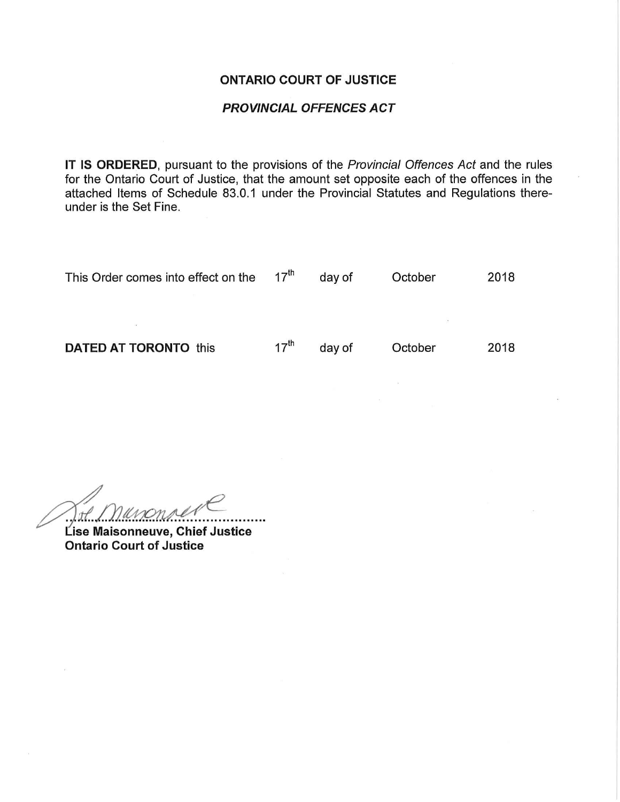#### ONTARIO COURT OF JUSTICE

### PROVINCIAL OFFENCES ACT

IT IS ORDERED, pursuant to the provisions of the Provincial Offences Act and the rules for the Ontario Court of Justice, that the amount set opposite each of the offences in the attached Items of Schedule 83.0.1 under the Provincial Statutes and Regulations thereunder is the Set Fine.

| This Order comes into effect on the $17th$ |                  | day of | October | 2018 |
|--------------------------------------------|------------------|--------|---------|------|
|                                            |                  |        |         |      |
|                                            |                  |        |         |      |
| <b>DATED AT TORONTO this</b>               | $17^{\text{th}}$ | day of | October | 2018 |
|                                            |                  |        |         |      |

^^^:::...

Lise Maisonneuve, Chief Justice Ontario Court of Justice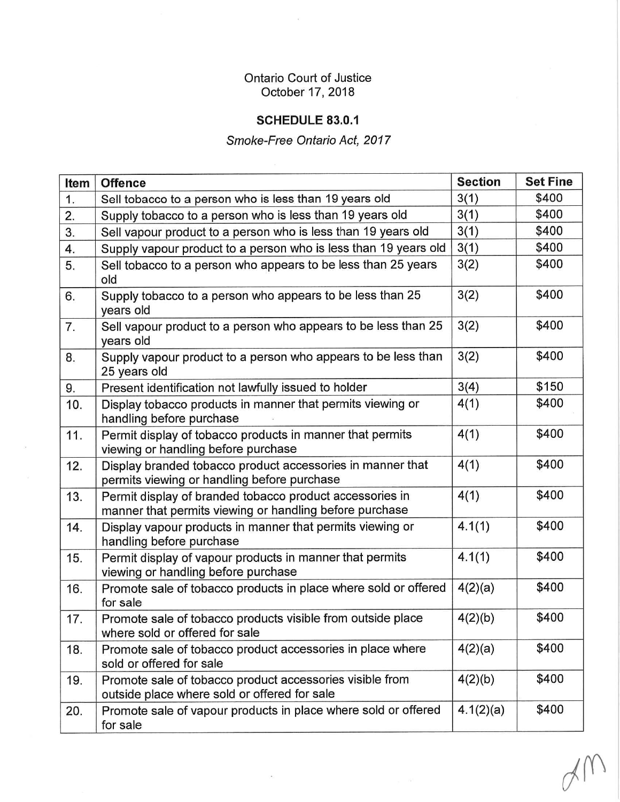## Ontario Court of Justice October 17, 2018

 $\sim$ 

## SCHEDULE 83.0.1

# Smoke-Free Ontario Act, 2017

| Item | <b>Offence</b>                                                                                                      | <b>Section</b> | <b>Set Fine</b> |
|------|---------------------------------------------------------------------------------------------------------------------|----------------|-----------------|
| 1.   | Sell tobacco to a person who is less than 19 years old                                                              | 3(1)           | \$400           |
| 2.   | Supply tobacco to a person who is less than 19 years old                                                            | 3(1)           | \$400           |
| 3.   | Sell vapour product to a person who is less than 19 years old                                                       | 3(1)           | \$400           |
| 4.   | Supply vapour product to a person who is less than 19 years old                                                     | 3(1)           | \$400           |
| 5.   | Sell tobacco to a person who appears to be less than 25 years<br>old                                                | 3(2)           | \$400           |
| 6.   | Supply tobacco to a person who appears to be less than 25<br>years old                                              | 3(2)           | \$400           |
| 7.   | Sell vapour product to a person who appears to be less than 25<br>years old                                         | 3(2)           | \$400           |
| 8.   | Supply vapour product to a person who appears to be less than<br>25 years old                                       | 3(2)           | \$400           |
| 9.   | Present identification not lawfully issued to holder                                                                | 3(4)           | \$150           |
| 10.  | Display tobacco products in manner that permits viewing or<br>handling before purchase                              | 4(1)           | \$400           |
| 11.  | Permit display of tobacco products in manner that permits<br>viewing or handling before purchase                    | 4(1)           | \$400           |
| 12.  | Display branded tobacco product accessories in manner that<br>permits viewing or handling before purchase           | 4(1)           | \$400           |
| 13.  | Permit display of branded tobacco product accessories in<br>manner that permits viewing or handling before purchase | 4(1)           | \$400           |
| 14.  | Display vapour products in manner that permits viewing or<br>handling before purchase                               | 4.1(1)         | \$400           |
| 15.  | Permit display of vapour products in manner that permits<br>viewing or handling before purchase                     | 4.1(1)         | \$400           |
| 16.  | Promote sale of tobacco products in place where sold or offered<br>for sale                                         | 4(2)(a)        | \$400           |
| 17.  | Promote sale of tobacco products visible from outside place<br>where sold or offered for sale                       | 4(2)(b)        | \$400           |
| 18.  | Promote sale of tobacco product accessories in place where<br>sold or offered for sale                              | 4(2)(a)        | \$400           |
| 19.  | Promote sale of tobacco product accessories visible from<br>outside place where sold or offered for sale            | 4(2)(b)        | \$400           |
| 20.  | Promote sale of vapour products in place where sold or offered<br>for sale                                          | 4.1(2)(a)      | \$400           |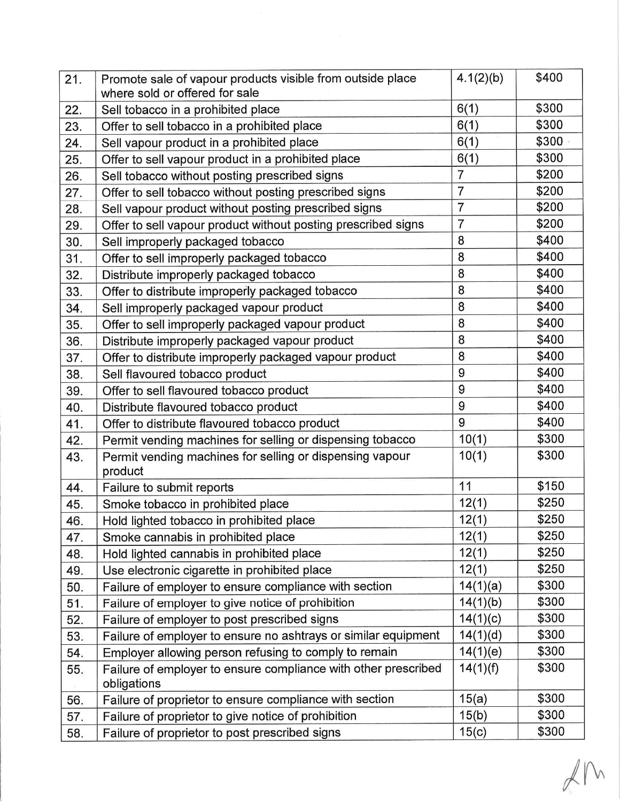| 21. | Promote sale of vapour products visible from outside place<br>where sold or offered for sale | 4.1(2)(b)      | \$400 |
|-----|----------------------------------------------------------------------------------------------|----------------|-------|
| 22. | Sell tobacco in a prohibited place                                                           | 6(1)           | \$300 |
| 23. | Offer to sell tobacco in a prohibited place                                                  | 6(1)           | \$300 |
| 24. | Sell vapour product in a prohibited place                                                    | 6(1)           | \$300 |
| 25. | Offer to sell vapour product in a prohibited place                                           | 6(1)           | \$300 |
| 26. | Sell tobacco without posting prescribed signs                                                | $\overline{7}$ | \$200 |
| 27. | Offer to sell tobacco without posting prescribed signs                                       | $\overline{7}$ | \$200 |
| 28. | Sell vapour product without posting prescribed signs                                         | $\overline{7}$ | \$200 |
| 29. | Offer to sell vapour product without posting prescribed signs                                | $\overline{7}$ | \$200 |
| 30. | Sell improperly packaged tobacco                                                             | 8              | \$400 |
| 31. | Offer to sell improperly packaged tobacco                                                    | 8              | \$400 |
| 32. | Distribute improperly packaged tobacco                                                       | 8              | \$400 |
| 33. | Offer to distribute improperly packaged tobacco                                              | 8              | \$400 |
| 34. | Sell improperly packaged vapour product                                                      | 8              | \$400 |
| 35. | Offer to sell improperly packaged vapour product                                             | 8              | \$400 |
| 36. | Distribute improperly packaged vapour product                                                | 8              | \$400 |
| 37. | Offer to distribute improperly packaged vapour product                                       | 8              | \$400 |
| 38. | Sell flavoured tobacco product                                                               | 9              | \$400 |
| 39. | Offer to sell flavoured tobacco product                                                      | 9              | \$400 |
| 40. | Distribute flavoured tobacco product                                                         | 9              | \$400 |
| 41. | Offer to distribute flavoured tobacco product                                                | 9              | \$400 |
| 42. | Permit vending machines for selling or dispensing tobacco                                    | 10(1)          | \$300 |
| 43. | Permit vending machines for selling or dispensing vapour<br>product                          | 10(1)          | \$300 |
| 44. | Failure to submit reports                                                                    | 11             | \$150 |
| 45. | Smoke tobacco in prohibited place                                                            | 12(1)          | \$250 |
| 46. | Hold lighted tobacco in prohibited place                                                     | 12(1)          | \$250 |
| 47. | Smoke cannabis in prohibited place                                                           | 12(1)          | \$250 |
| 48. | Hold lighted cannabis in prohibited place                                                    | 12(1)          | \$250 |
| 49. | Use electronic cigarette in prohibited place                                                 | 12(1)          | \$250 |
| 50. | Failure of employer to ensure compliance with section                                        | 14(1)(a)       | \$300 |
| 51. | Failure of employer to give notice of prohibition                                            | 14(1)(b)       | \$300 |
| 52. | Failure of employer to post prescribed signs                                                 | 14(1)(c)       | \$300 |
| 53. | Failure of employer to ensure no ashtrays or similar equipment                               | 14(1)(d)       | \$300 |
| 54. | Employer allowing person refusing to comply to remain                                        | 14(1)(e)       | \$300 |
| 55. | Failure of employer to ensure compliance with other prescribed<br>obligations                | 14(1)(f)       | \$300 |
| 56. | Failure of proprietor to ensure compliance with section                                      | 15(a)          | \$300 |
| 57. | Failure of proprietor to give notice of prohibition                                          | 15(b)          | \$300 |
| 58. | Failure of proprietor to post prescribed signs                                               | 15(c)          | \$300 |